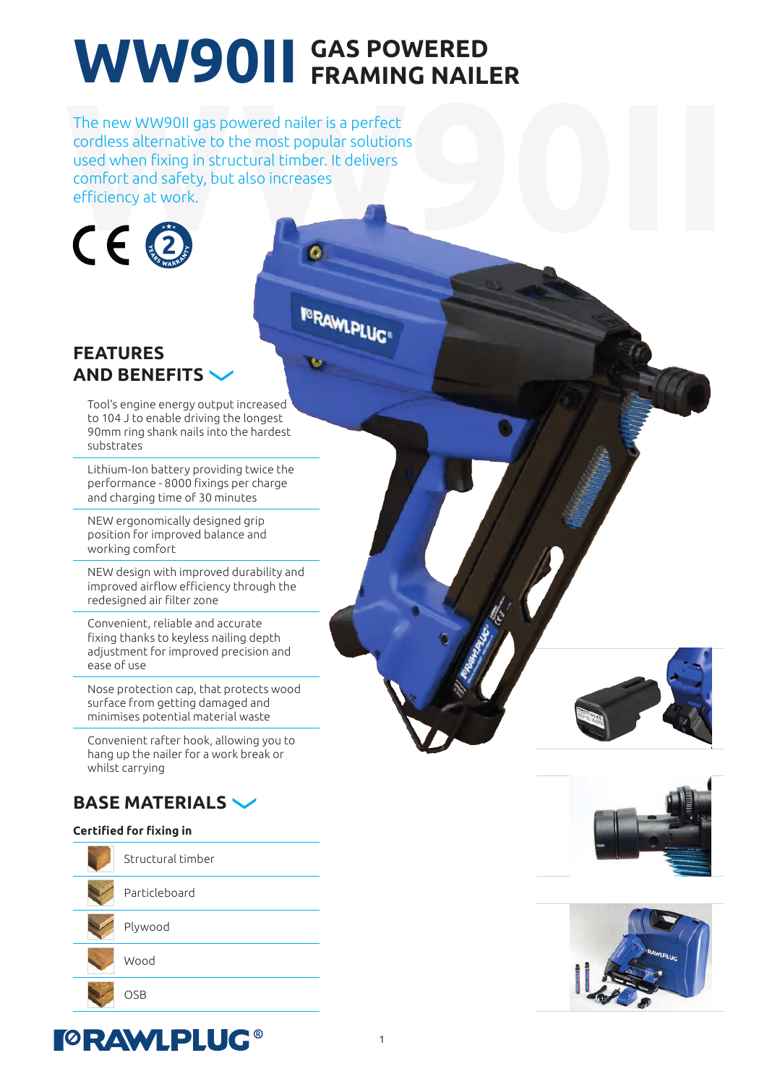# WW90II GAS POWERED **EXAMING NAILER**

The new WW90II gas powered nailer is a perfect<br>cordless alternative to the most popular solutions<br>used when fixing in structural timber. It delivers<br>comfort and safety, but also increases<br>efficiency at work. The new WW90II gas powered nailer is a perfect cordless alternative to the most popular solutions used when fixing in structural timber. It delivers comfort and safety, but also increases efficiency at work.



**I**®RAWLPLUG®

### **FEATURES AND BENEFITS**

Tool's engine energy output increased to 104 J to enable driving the longest 90mm ring shank nails into the hardest substrates

Lithium-Ion battery providing twice the performance - 8000 fixings per charge and charging time of 30 minutes

NEW ergonomically designed grip position for improved balance and working comfort

NEW design with improved durability and improved airflow efficiency through the redesigned air filter zone

Convenient, reliable and accurate fixing thanks to keyless nailing depth adjustment for improved precision and ease of use

Nose protection cap, that protects wood surface from getting damaged and minimises potential material waste

Convenient rafter hook, allowing you to hang up the nailer for a work break or whilst carrying

### **BASE MATERIALS**



Structural timber

Particleboard

Plywood

Wood

OSB





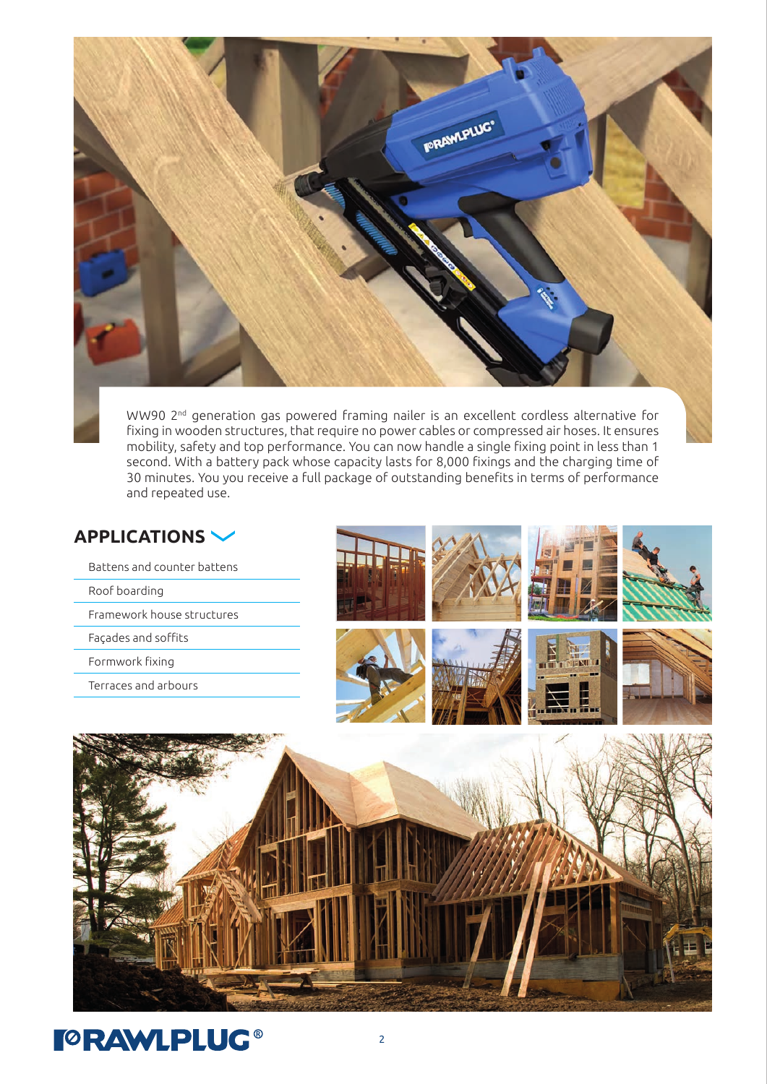

WW90 2<sup>nd</sup> generation gas powered framing nailer is an excellent cordless alternative for fixing in wooden structures, that require no power cables or compressed air hoses. It ensures mobility, safety and top performance. You can now handle a single fixing point in less than 1 second. With a battery pack whose capacity lasts for 8,000 fixings and the charging time of 30 minutes. You you receive a full package of outstanding benefits in terms of performance and repeated use.

#### **APPLICATIONS**

- Battens and counter battens
- Roof boarding
- Framework house structures
- Façades and soffits
- Formwork fixing
- Terraces and arbours





## **TORAWLPLUG®**